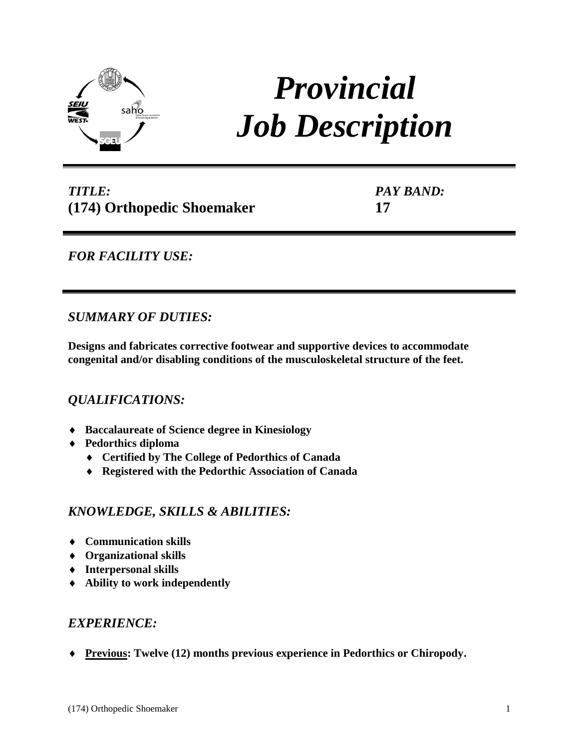

# *Provincial Job Description*

# *TITLE:* **(174) Orthopedic Shoemaker**

*PAY BAND:* **17**

## *FOR FACILITY USE:*

## *SUMMARY OF DUTIES:*

**Designs and fabricates corrective footwear and supportive devices to accommodate congenital and/or disabling conditions of the musculoskeletal structure of the feet.** 

## *QUALIFICATIONS:*

- **Baccalaureate of Science degree in Kinesiology**
- **Pedorthics diploma**
	- **Certified by The College of Pedorthics of Canada**
	- **Registered with the Pedorthic Association of Canada**

## *KNOWLEDGE, SKILLS & ABILITIES:*

- **Communication skills**
- **Organizational skills**
- **Interpersonal skills**
- **Ability to work independently**

## *EXPERIENCE:*

**Previous: Twelve (12) months previous experience in Pedorthics or Chiropody.**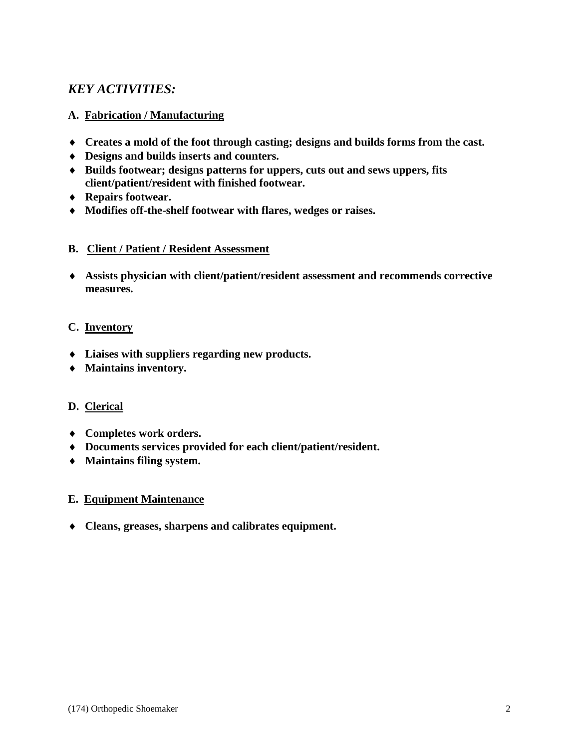## *KEY ACTIVITIES:*

#### **A. Fabrication / Manufacturing**

- **Creates a mold of the foot through casting; designs and builds forms from the cast.**
- **Designs and builds inserts and counters.**
- **Builds footwear; designs patterns for uppers, cuts out and sews uppers, fits client/patient/resident with finished footwear.**
- **Repairs footwear.**
- **Modifies off-the-shelf footwear with flares, wedges or raises.**

#### **B. Client / Patient / Resident Assessment**

 **Assists physician with client/patient/resident assessment and recommends corrective measures.**

#### **C. Inventory**

- **Liaises with suppliers regarding new products.**
- **Maintains inventory.**

#### **D. Clerical**

- **Completes work orders.**
- **Documents services provided for each client/patient/resident.**
- **Maintains filing system.**

#### **E. Equipment Maintenance**

**Cleans, greases, sharpens and calibrates equipment.**